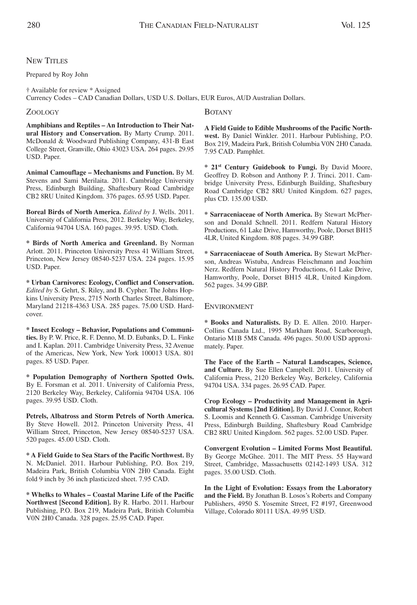## **NEW TITLES**

## Prepared by Roy John

† Available for review \* Assigned Currency Codes – CAD Canadian Dollars, USD U.S. Dollars, EUR Euros, AUD Australian Dollars.

## ZOOLOGY

**Amphibians and Reptiles – An Introduction to Their Natural History and Conservation.** By Marty Crump. 2011. McDonald & Woodward Publishing Company, 431-B East College Street, Granville, Ohio 43023 USA. 264 pages. 29.95 USD. Paper.

**Animal Camouflage – Mechanisms and Function.** By M. Stevens and Sami Merilaita. 2011. Cambridge University Press, Edinburgh Building, Shaftesbury Road Cambridge CB2 8RU United Kingdom. 376 pages. 65.95 USD. Paper.

**Boreal Birds of North America.** *Edited by* J. Wells. 2011. University of California Press, 2012. Berkeley Way, Berkeley, California 94704 USA. 160 pages. 39.95. USD. Cloth.

**\* Birds of North America and Greenland.** By Norman Arlott. 2011. Princeton University Press 41 William Street, Princeton, New Jersey 08540-5237 USA. 224 pages. 15.95 USD. Paper.

**\* Urban Carnivores: Ecology, Conflict and Conservation.** *Edited by* S. Gehrt, S. Riley, and B. Cypher. The Johns Hopkins University Press, 2715 North Charles Street, Baltimore, Maryland 21218-4363 USA. 285 pages. 75.00 USD. Hardcover.

**\* Insect Ecology – Behavior, Populations and Communities.** By P. W. Price, R. F. Denno, M. D. Eubanks, D. L. Finke and I. Kaplan. 2011. Cambridge University Press, 32 Avenue of the Americas, New York, New York 100013 USA. 801 pages. 85 USD. Paper.

**\* Population Demography of Northern Spotted Owls.** By E. Forsman et al. 2011. University of California Press, 2120 Berkeley Way, Berkeley, California 94704 USA. 106 pages. 39.95 USD. Cloth.

**Petrels, Albatross and Storm Petrels of North America.** By Steve Howell. 2012. Princeton University Press, 41 William Street, Princeton, New Jersey 08540-5237 USA. 520 pages. 45.00 USD. Cloth.

**\* A Field Guide to Sea Stars of the Pacific Northwest.** By N. McDaniel. 2011. Harbour Publishing, P.O. Box 219, Madeira Park, British Columbia V0N 2H0 Canada. Eight fold 9 inch by 36 inch plasticized sheet. 7.95 CAD.

**\* Whelks to Whales – Coastal Marine Life of the Pacific Northwest [Second Edition].** By R. Harbo. 2011. Harbour Publishing, P.O. Box 219, Madeira Park, British Columbia V0N 2H0 Canada. 328 pages. 25.95 CAD. Paper.

## BOTANY

**A Field Guide to Edible Mushrooms of the Pacific Northwest.** By Daniel Winkler. 2011. Harbour Publishing, P.O. Box 219, Madeira Park, British Columbia V0N 2H0 Canada. 7.95 CAD. Pamphlet.

**\* 21st Century Guidebook to Fungi.** By David Moore, Geoffrey D. Robson and Anthony P. J. Trinci. 2011. Cambridge University Press, Edinburgh Building, Shaftesbury Road Cambridge CB2 8RU United Kingdom. 627 pages, plus CD. 135.00 USD.

**\* Sarraceniaceae of North America.** By Stewart McPherson and Donald Schnell. 2011. Redfern Natural History Productions, 61 Lake Drive, Hamworthy, Poole, Dorset BH15 4LR, United Kingdom. 808 pages. 34.99 GBP.

**\* Sarraceniaceae of South America.** By Stewart McPherson, Andreas Wistuba, Andreas Fleischmann and Joachim Nerz. Redfern Natural History Productions, 61 Lake Drive, Hamworthy, Poole, Dorset BH15 4LR, United Kingdom. 562 pages. 34.99 GBP.

ENVIRONMENT

**\* Books and Naturalists.** By D. E. Allen. 2010. Harper-Collins Canada Ltd., 1995 Markham Road, Scarborough, Ontario M1B 5M8 Canada. 496 pages. 50.00 USD approximately. Paper.

**The Face of the Earth – Natural Landscapes, Science, and Culture.** By Sue Ellen Campbell. 2011. University of California Press, 2120 Berkeley Way, Berkeley, California 94704 USA. 334 pages. 26.95 CAD. Paper.

**Crop Ecology – Productivity and Management in Agricultural Systems [2nd Edition].** By David J. Connor, Robert S. Loomis and Kenneth G. Cassman. Cambridge University Press, Edinburgh Building, Shaftesbury Road Cambridge CB2 8RU United Kingdom. 562 pages. 52.00 USD. Paper.

**Convergent Evolution – Limited Forms Most Beautiful.** By George McGhee. 2011. The MIT Press. 55 Hayward Street, Cambridge, Massachusetts 02142-1493 USA. 312 pages. 35.00 USD. Cloth.

**In the Light of Evolution: Essays from the Laboratory and the Field.** By Jonathan B. Losos's Roberts and Company Publishers, 4950 S. Yosemite Street, F2 #197, Greenwood Village, Colorado 80111 USA. 49.95 USD.